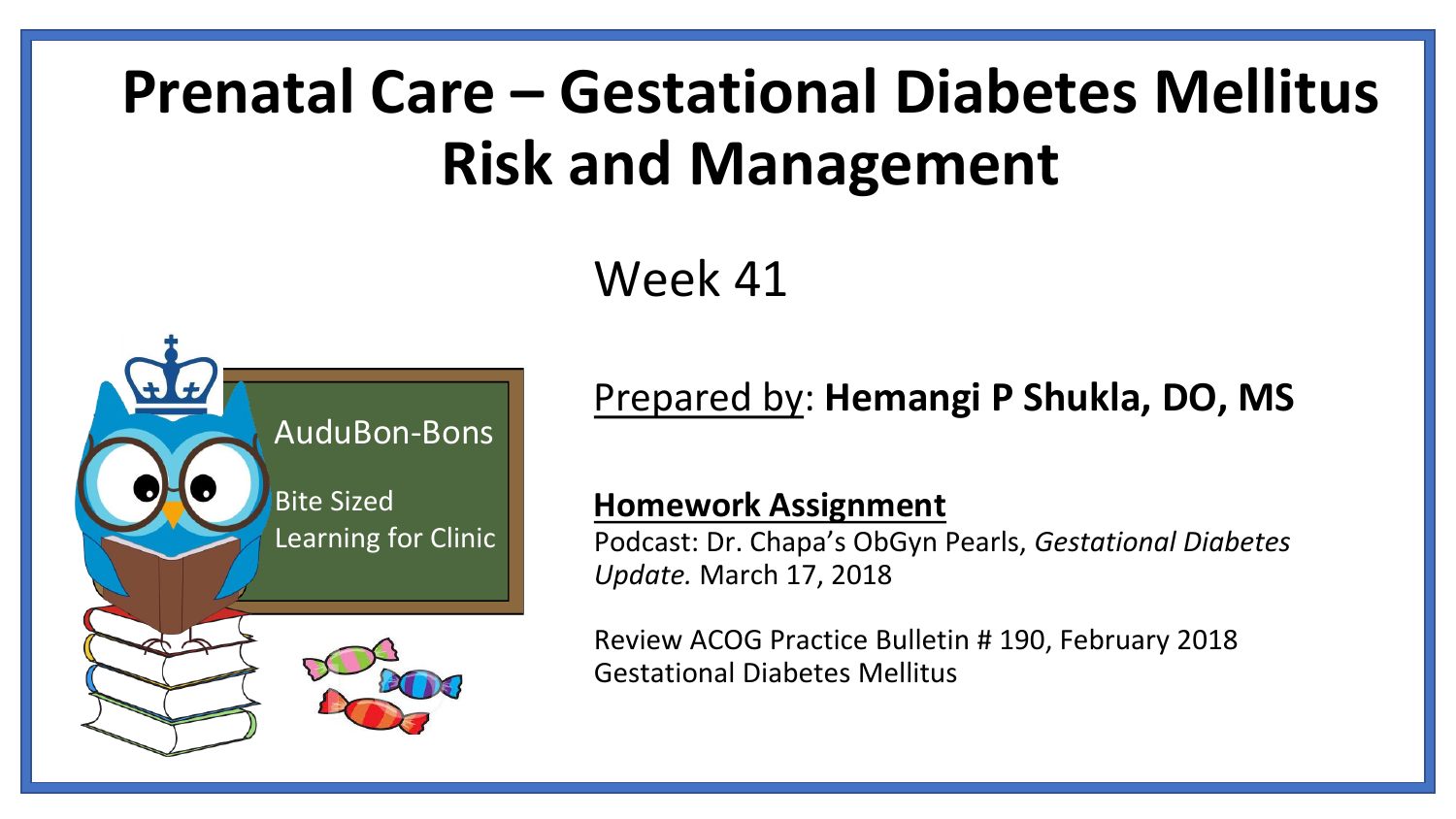# **Prenatal Care – Gestational Diabetes Mellitus Risk and Management**

#### Week 41



#### Prepared by: **Hemangi P Shukla, DO, MS**

#### **Homework Assignment**

Podcast: Dr. Chapa's ObGyn Pearls, *Gestational Diabetes Update.* March 17, 2018

Review ACOG Practice Bulletin # 190, February 2018 Gestational Diabetes Mellitus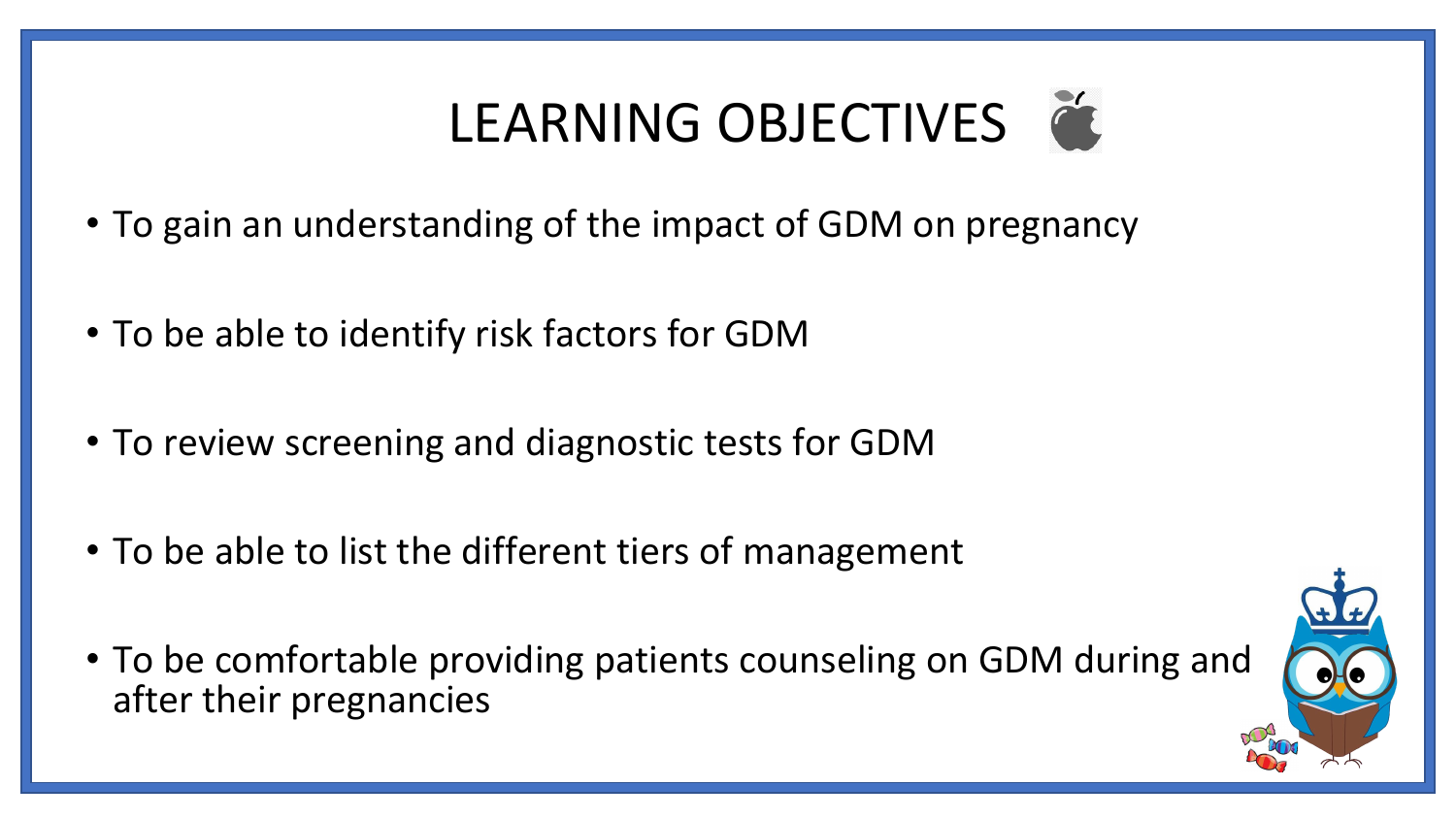# LEARNING OBJECTIVES

- To gain an understanding of the impact of GDM on pregnancy
- To be able to identify risk factors for GDM
- To review screening and diagnostic tests for GDM
- To be able to list the different tiers of management
- To be comfortable providing patients counseling on GDM during and after their pregnancies

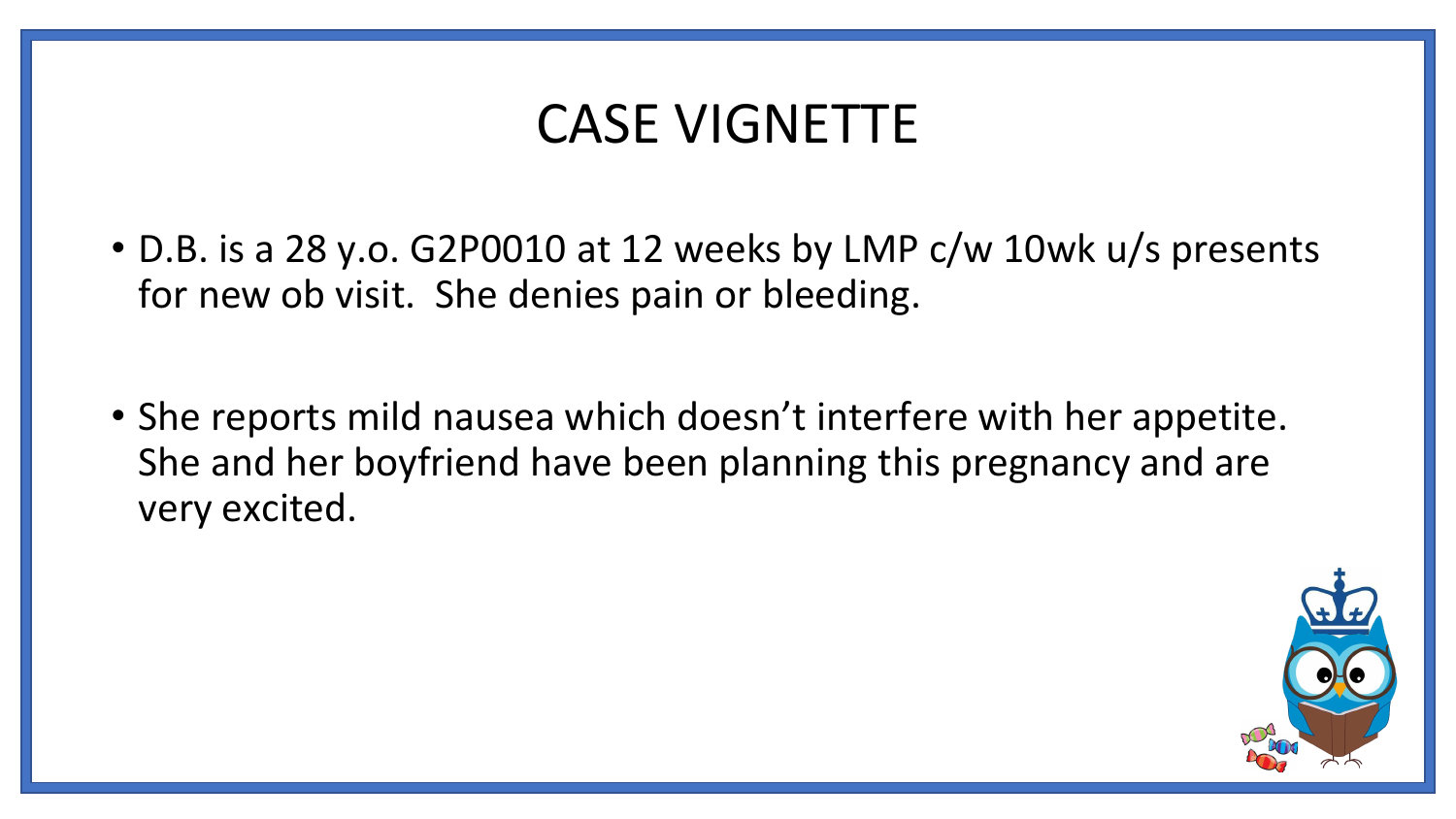### CASE VIGNETTE

- D.B. is a 28 y.o. G2P0010 at 12 weeks by LMP c/w 10wk u/s presents for new ob visit. She denies pain or bleeding.
- She reports mild nausea which doesn't interfere with her appetite. She and her boyfriend have been planning this pregnancy and are very excited.

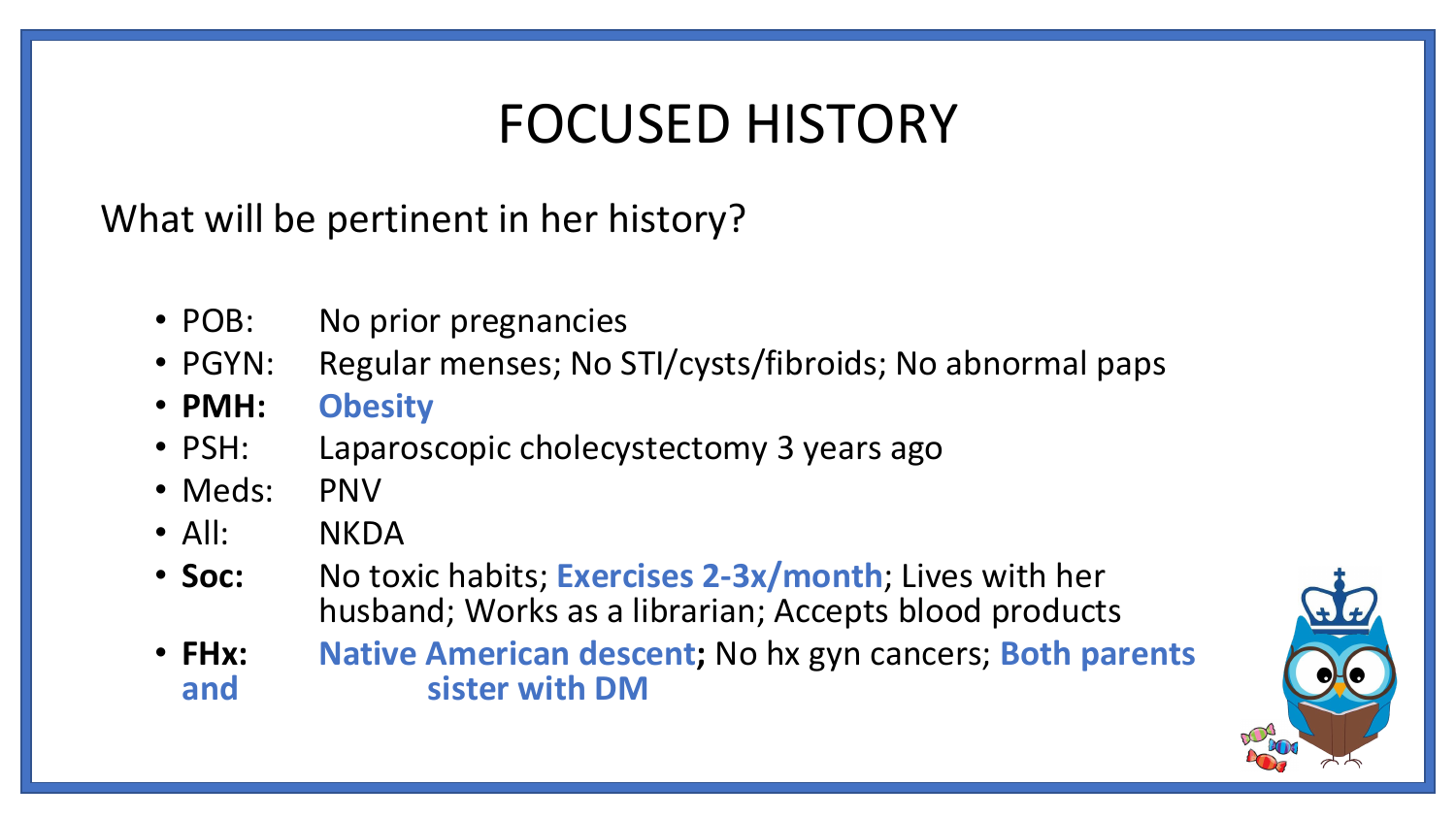### FOCUSED HISTORY

What will be pertinent in her history?

- POB: No prior pregnancies
- PGYN: Regular menses; No STI/cysts/fibroids; No abnormal paps
- **PMH: Obesity**
- PSH: Laparoscopic cholecystectomy 3 years ago
- Meds: PNV
- All: NKDA
- **Soc:** No toxic habits; **Exercises 2-3x/month**; Lives with her husband; Works as a librarian; Accepts blood products
- **FHx: Native American descent;** No hx gyn cancers; **Both parents and sister with DM**

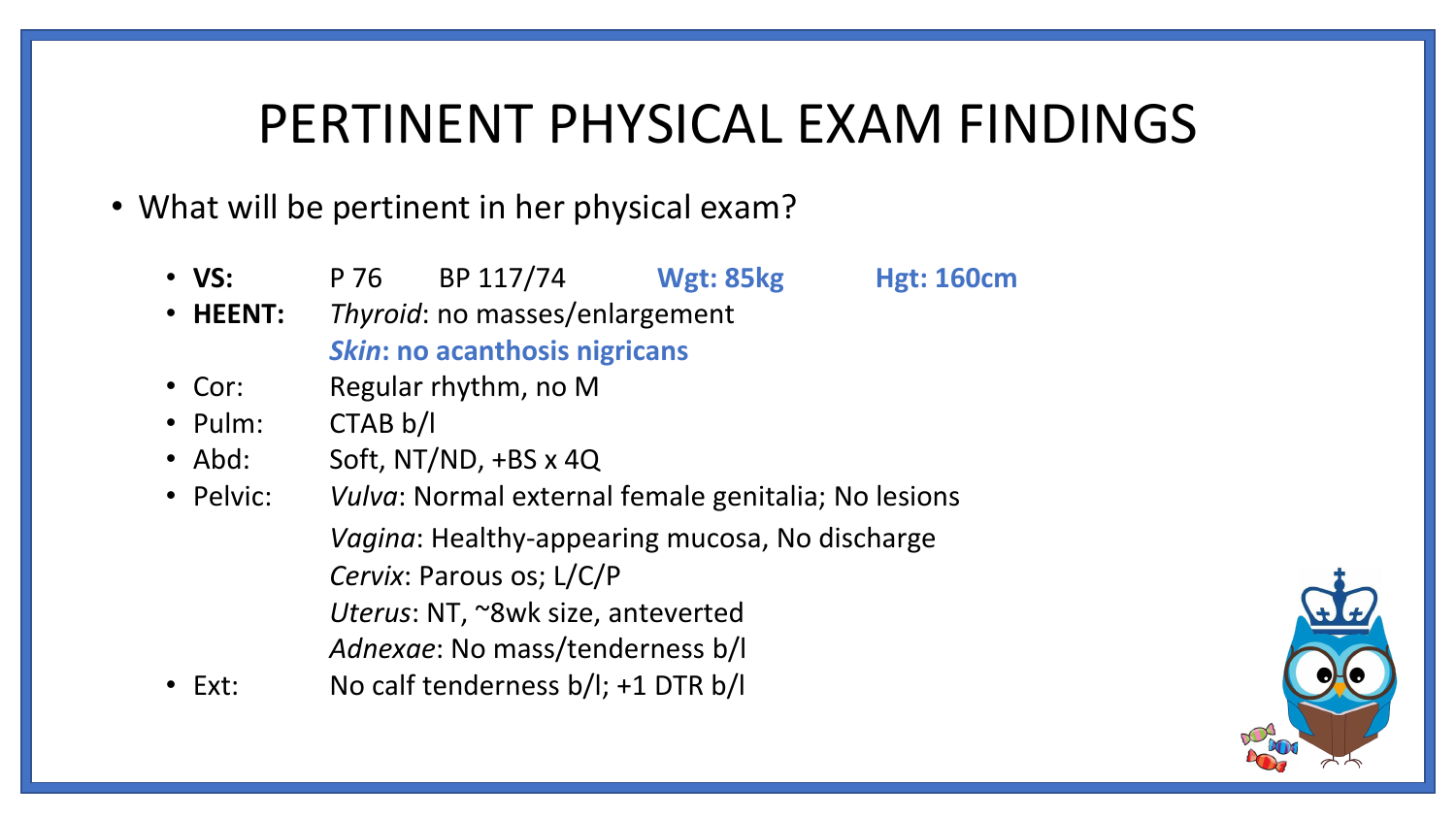#### PERTINENT PHYSICAL EXAM FINDINGS

- What will be pertinent in her physical exam?
	- **VS:** P 76 BP 117/74 **Wgt: 85kg Hgt: 160cm**
	- **HEENT:** *Thyroid*: no masses/enlargement *Skin***: no acanthosis nigricans**
	- Cor: Regular rhythm, no M
	- Pulm: CTAB b/l
	- Abd: Soft, NT/ND, +BS x 4Q
	- Pelvic: *Vulva*: Normal external female genitalia; No lesions *Vagina*: Healthy-appearing mucosa, No discharge *Cervix*: Parous os; L/C/P *Uterus*: NT, ~8wk size, anteverted *Adnexae*: No mass/tenderness b/l
	- Ext: No calf tenderness b/l; +1 DTR b/l

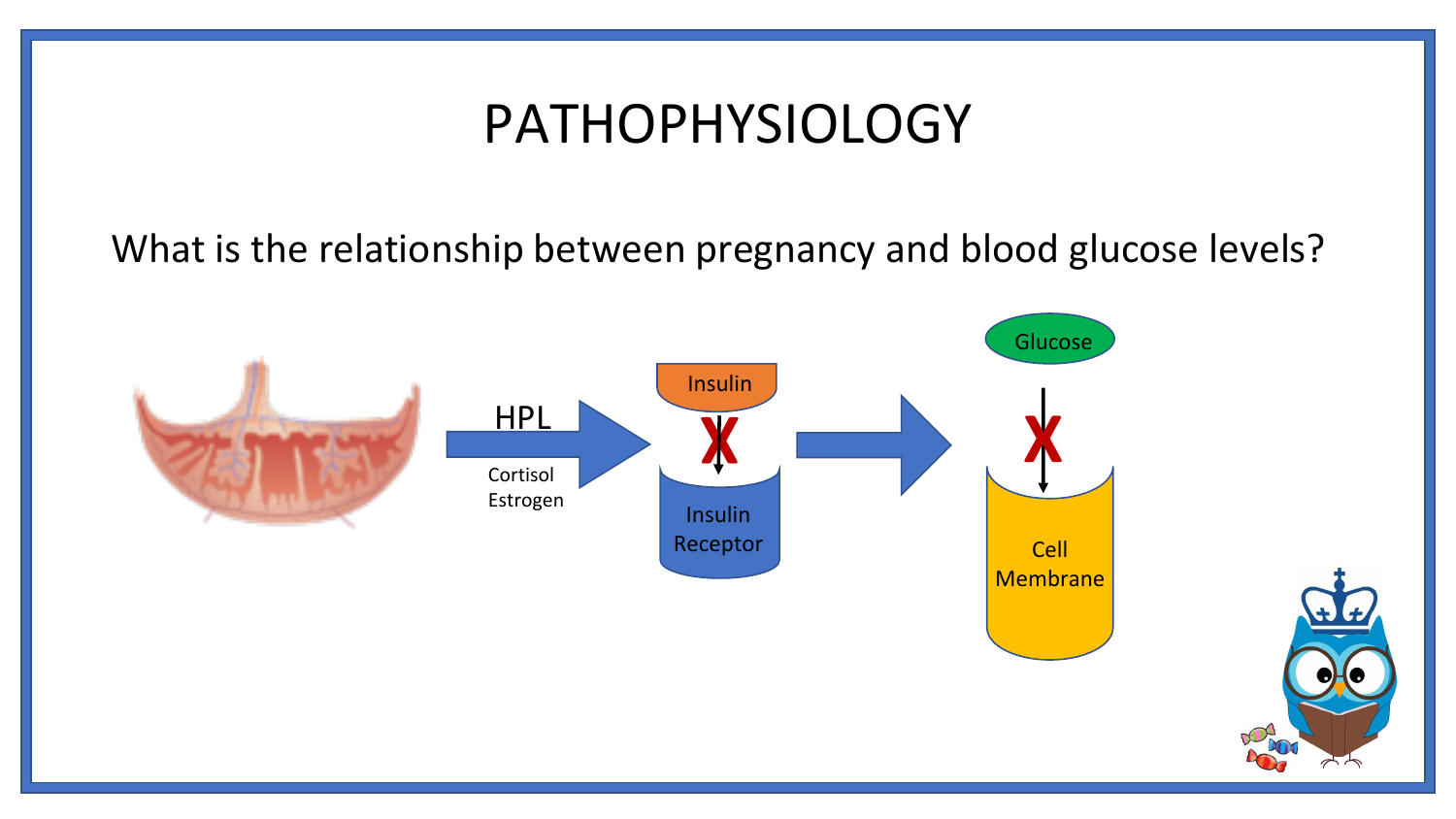#### PATHOPHYSIOLOGY

What is the relationship between pregnancy and blood glucose levels?

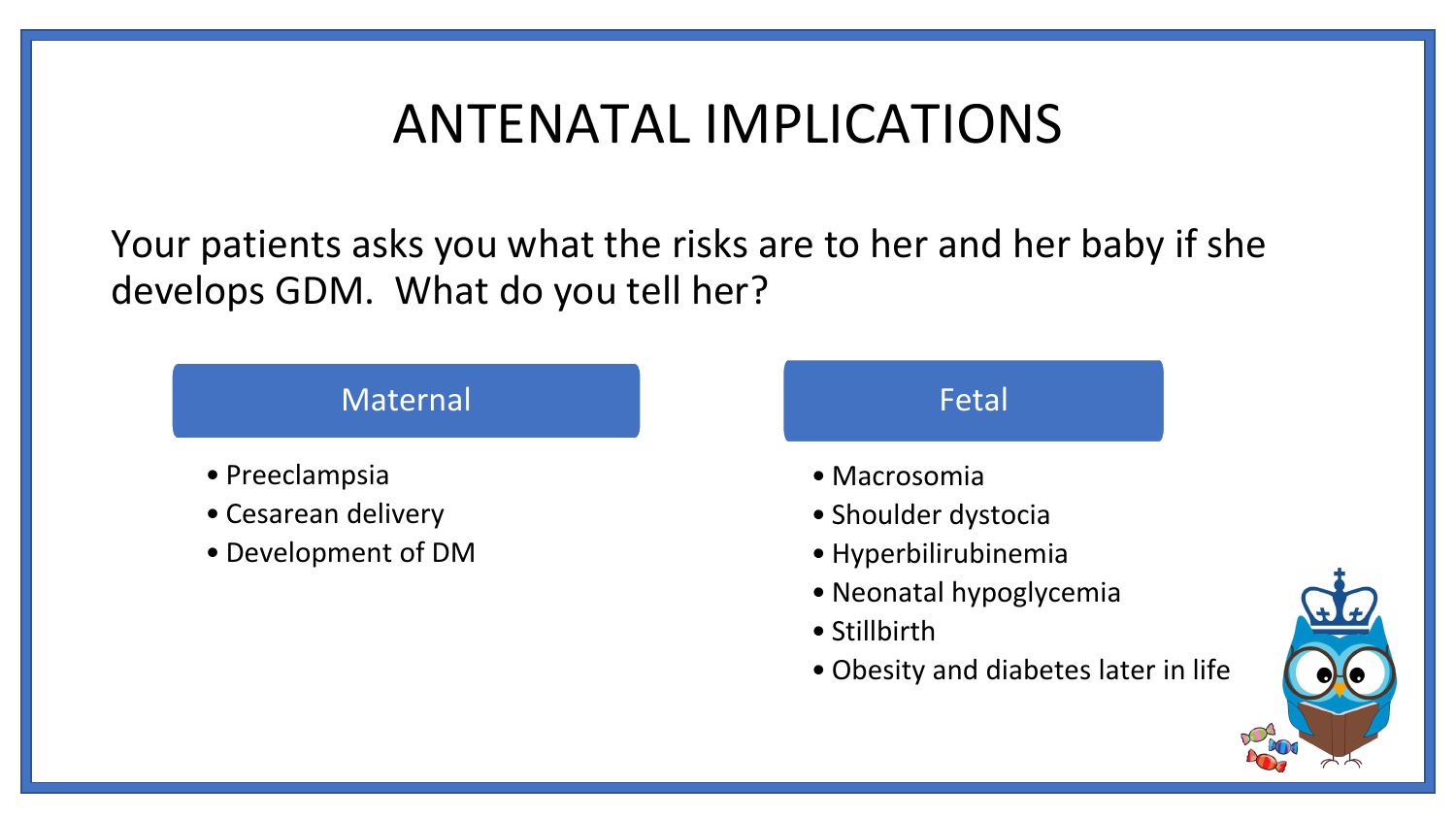### ANTENATAL IMPLICATIONS

Your patients asks you what the risks are to her and her baby if she develops GDM. What do you tell her?

#### Maternal

- Preeclampsia
- Cesarean delivery
- Development of DM

#### Fetal

- Macrosomia
- Shoulder dystocia
- Hyperbilirubinemia
- Neonatal hypoglycemia
- Stillbirth
- Obesity and diabetes later in life

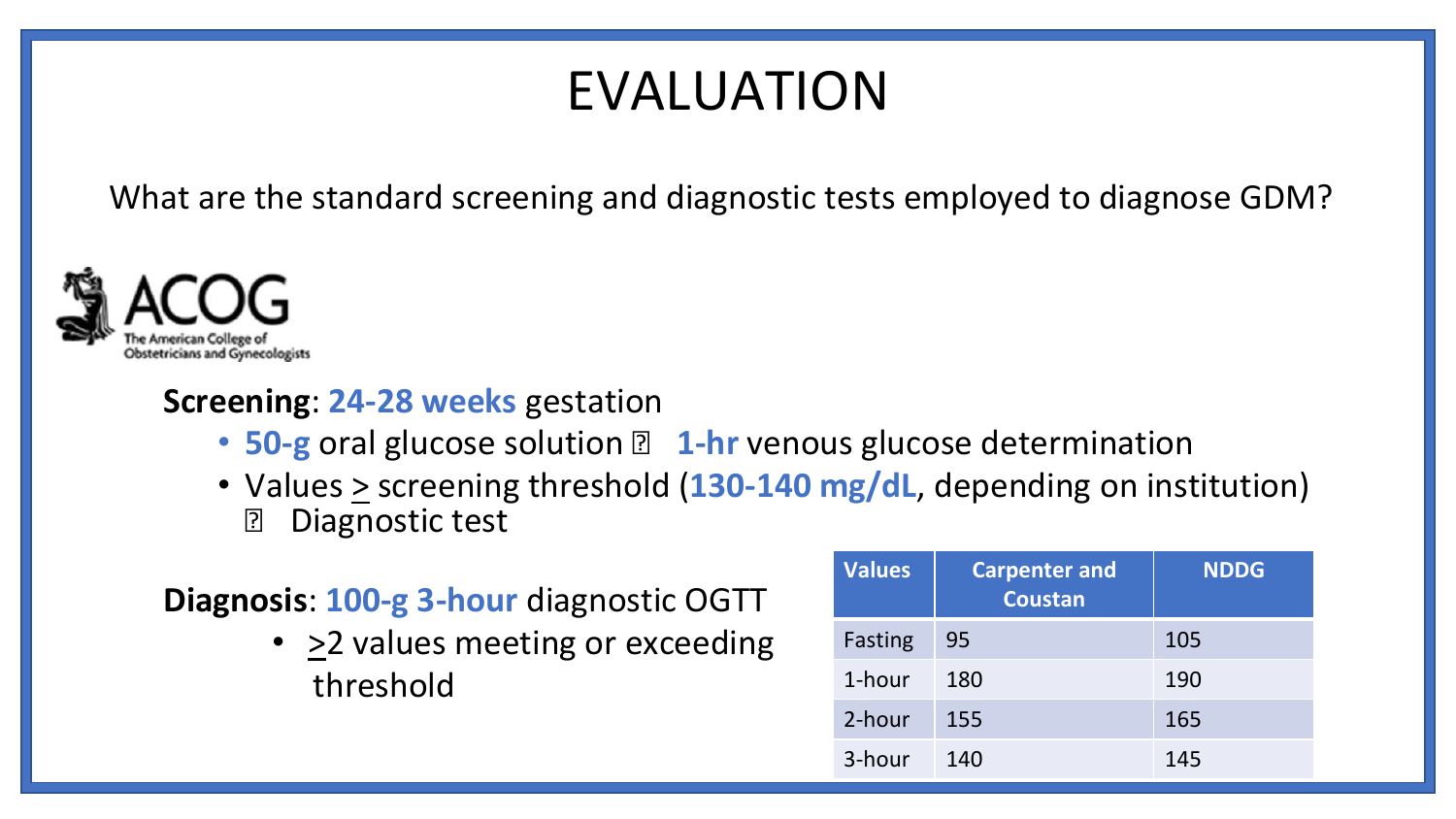### EVALUATION

What are the standard screening and diagnostic tests employed to diagnose GDM?



#### **Screening**: **24-28 weeks** gestation

- 50-g oral glucose solution **1 1-hr** venous glucose determination
- Values  $\geq$  screening threshold (130-140 mg/dL, depending on institution) **Diagnostic test**

#### **Diagnosis**: **100-g 3-hour** diagnostic OGTT

• > 2 values meeting or exceeding threshold

| Values  | <b>Carpenter and</b><br><b>Coustan</b> | <b>NDDG</b> |
|---------|----------------------------------------|-------------|
| Fasting | 95                                     | 105         |
| 1-hour  | 180                                    | 190         |
| 2-hour  | 155                                    | 165         |
| 3-hour  | 140                                    | 145         |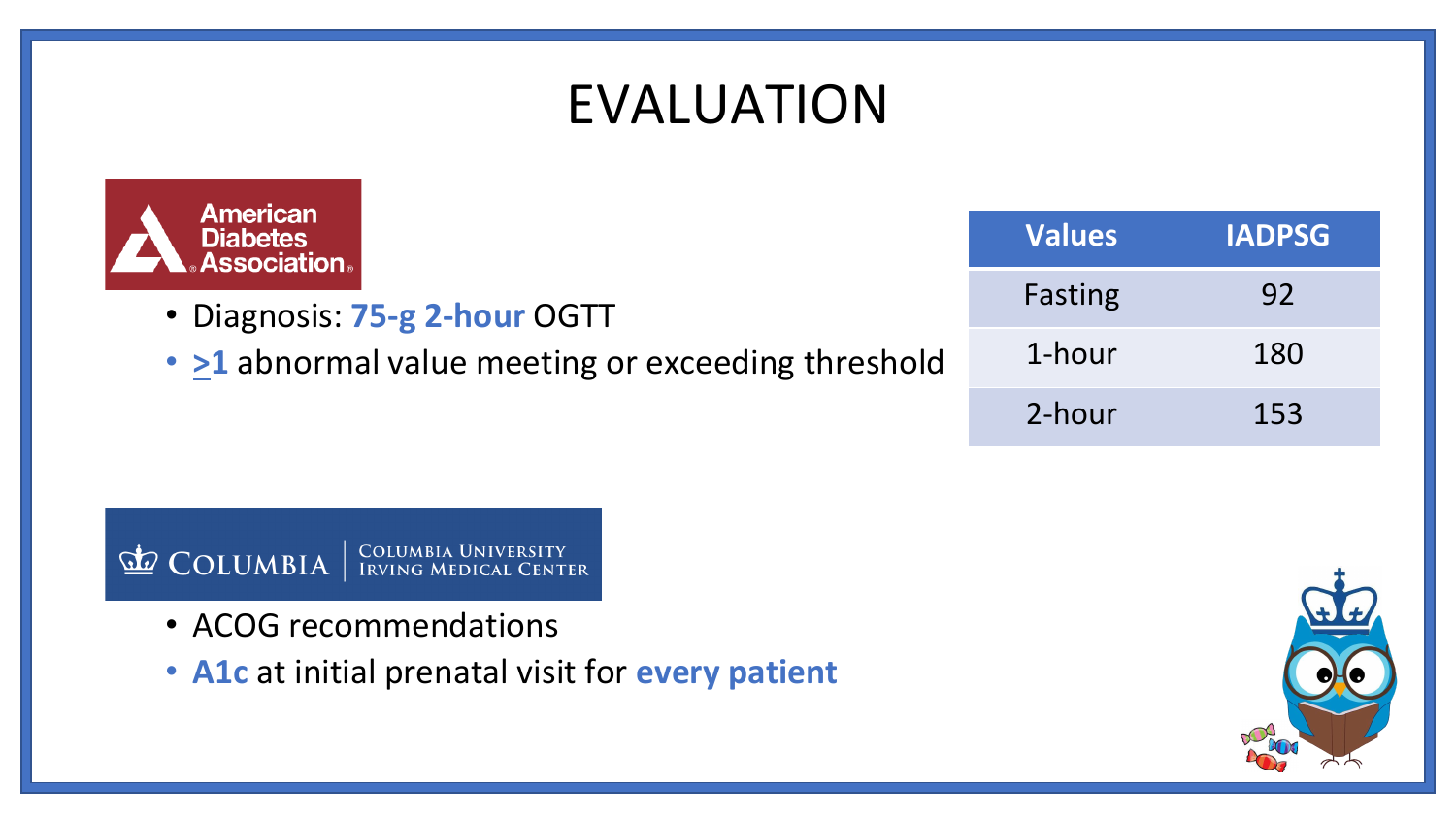### EVALUATION



- Diagnosis: **75-g 2-hour** OGTT
- >1 abnormal value meeting or exceeding threshold

| <b>Values</b> | <b>IADPSG</b> |  |
|---------------|---------------|--|
| Fasting       | 92            |  |
| 1-hour        | 180           |  |
| 2-hour        | 153           |  |

COLUMBIA UNIVERSITY<br>IRVING MEDICAL CENTER COLUMBIA

- ACOG recommendations
- **A1c** at initial prenatal visit for **every patient**

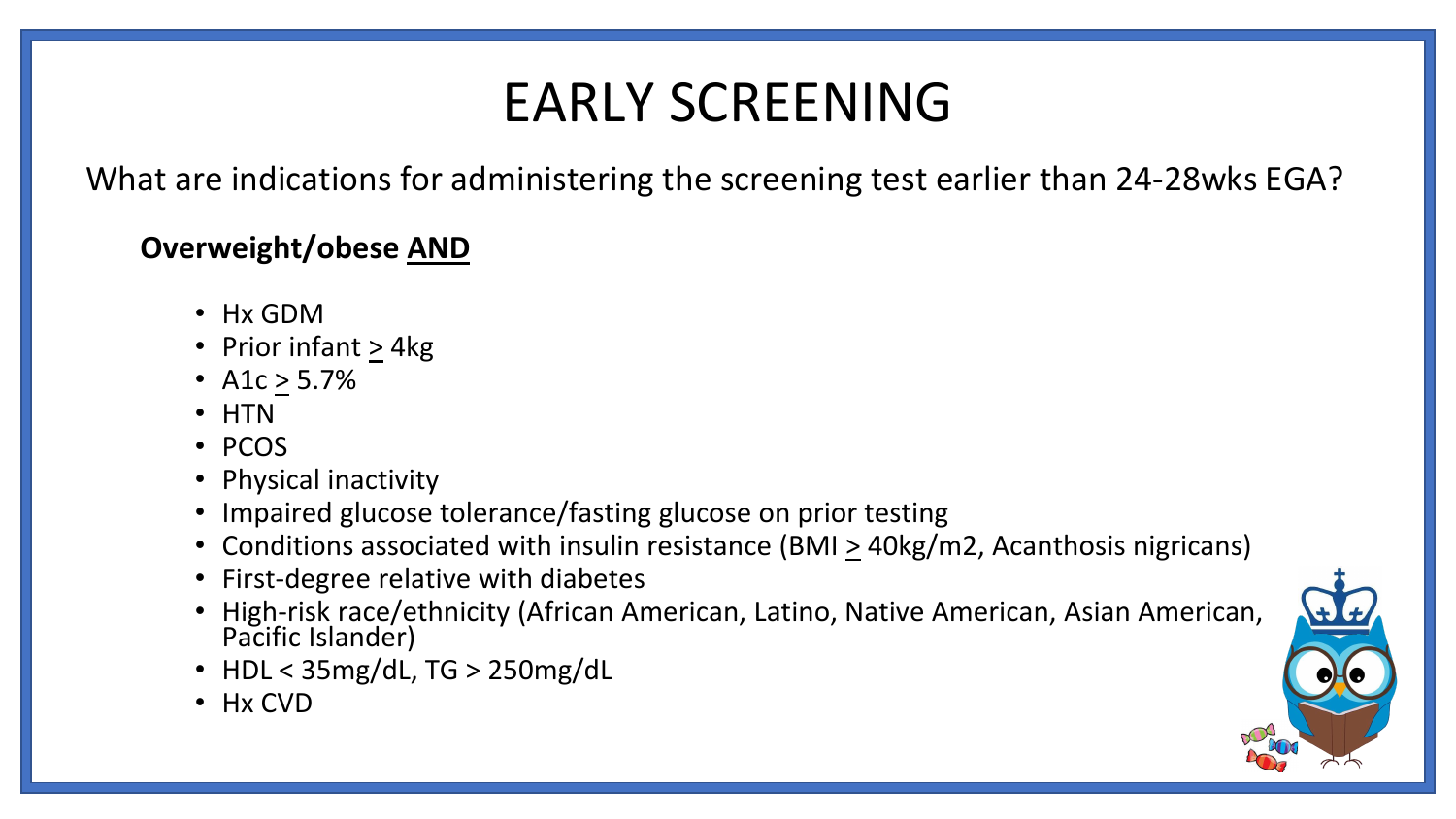### EARLY SCREENING

What are indications for administering the screening test earlier than 24-28wks EGA?

#### **Overweight/obese AND**

- Hx GDM
- Prior infant > 4kg
- A1c > 5.7%
- HTN
- PCOS
- Physical inactivity
- Impaired glucose tolerance/fasting glucose on prior testing
- Conditions associated with insulin resistance (BMI > 40kg/m2, Acanthosis nigricans)
- First-degree relative with diabetes
- High-risk race/ethnicity (African American, Latino, Native American, Asian American, Pacific Islander)
- HDL < 35mg/dL, TG > 250mg/dL
- Hx CVD

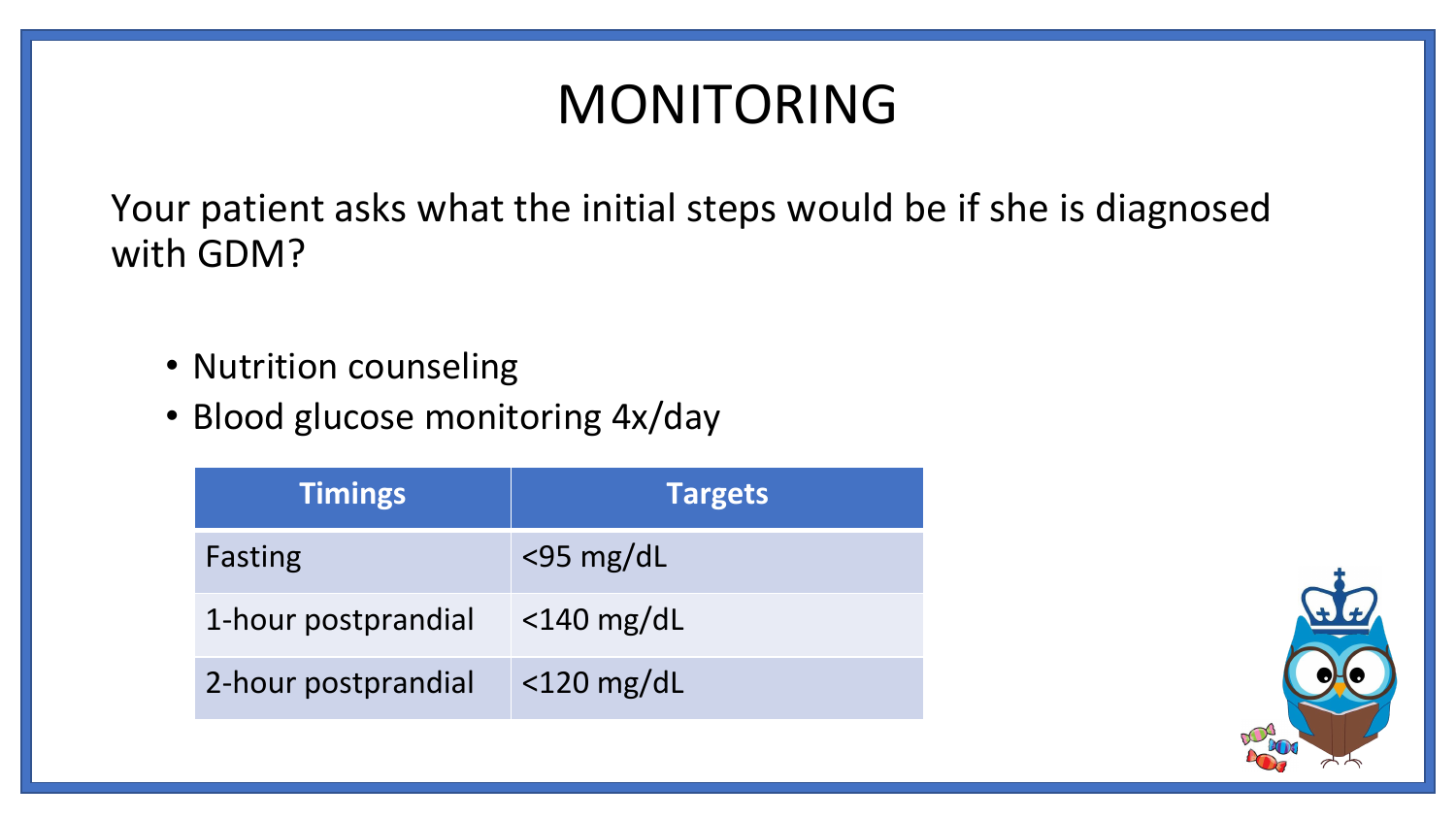## MONITORING

Your patient asks what the initial steps would be if she is diagnosed with GDM?

- Nutrition counseling
- Blood glucose monitoring 4x/day

| <b>Timings</b>      | <b>Targets</b> |
|---------------------|----------------|
| Fasting             | $<$ 95 mg/dL   |
| 1-hour postprandial | $<$ 140 mg/dL  |
| 2-hour postprandial | $<$ 120 mg/dL  |

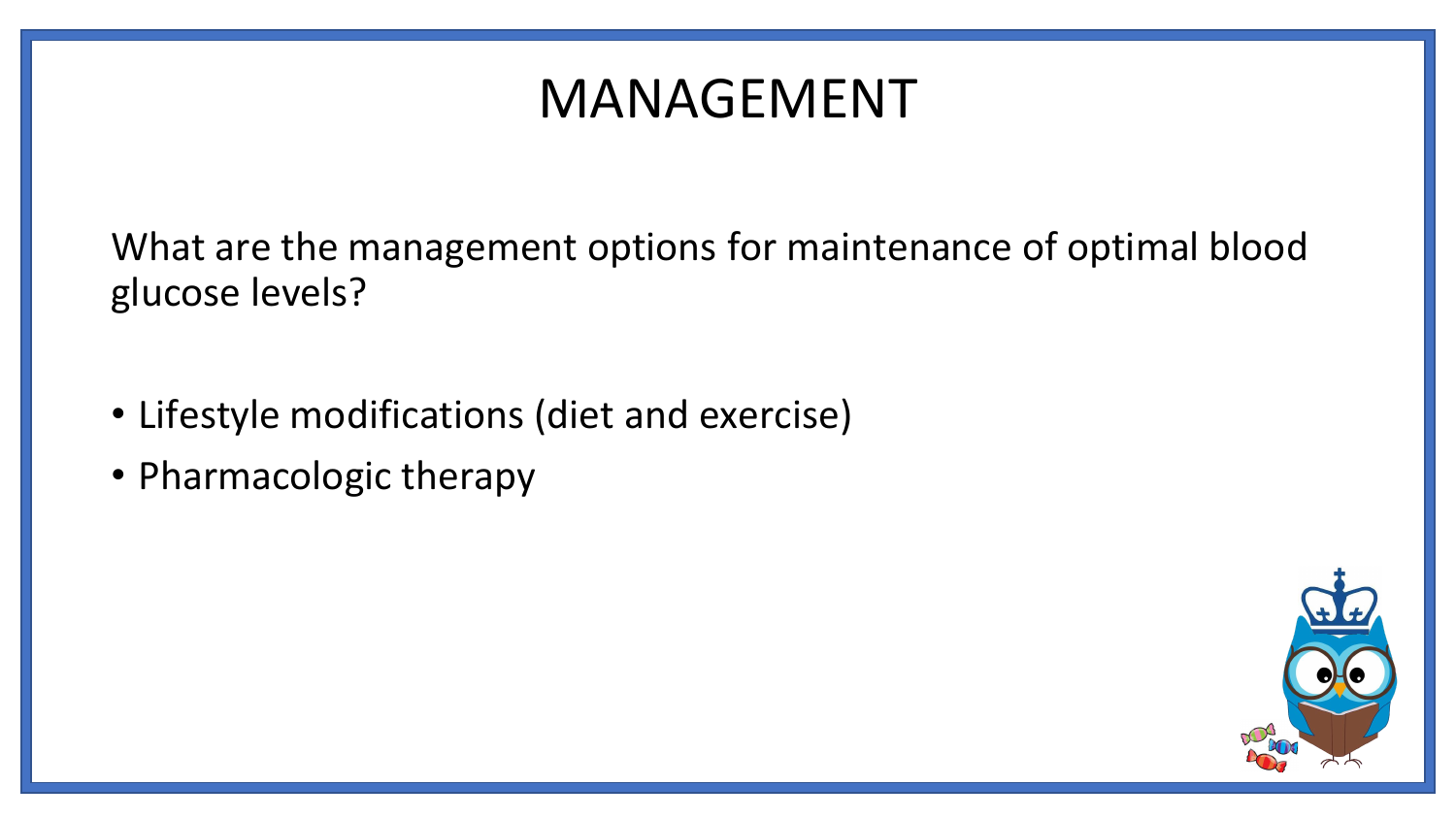### MANAGEMENT

What are the management options for maintenance of optimal blood glucose levels?

- Lifestyle modifications (diet and exercise)
- Pharmacologic therapy

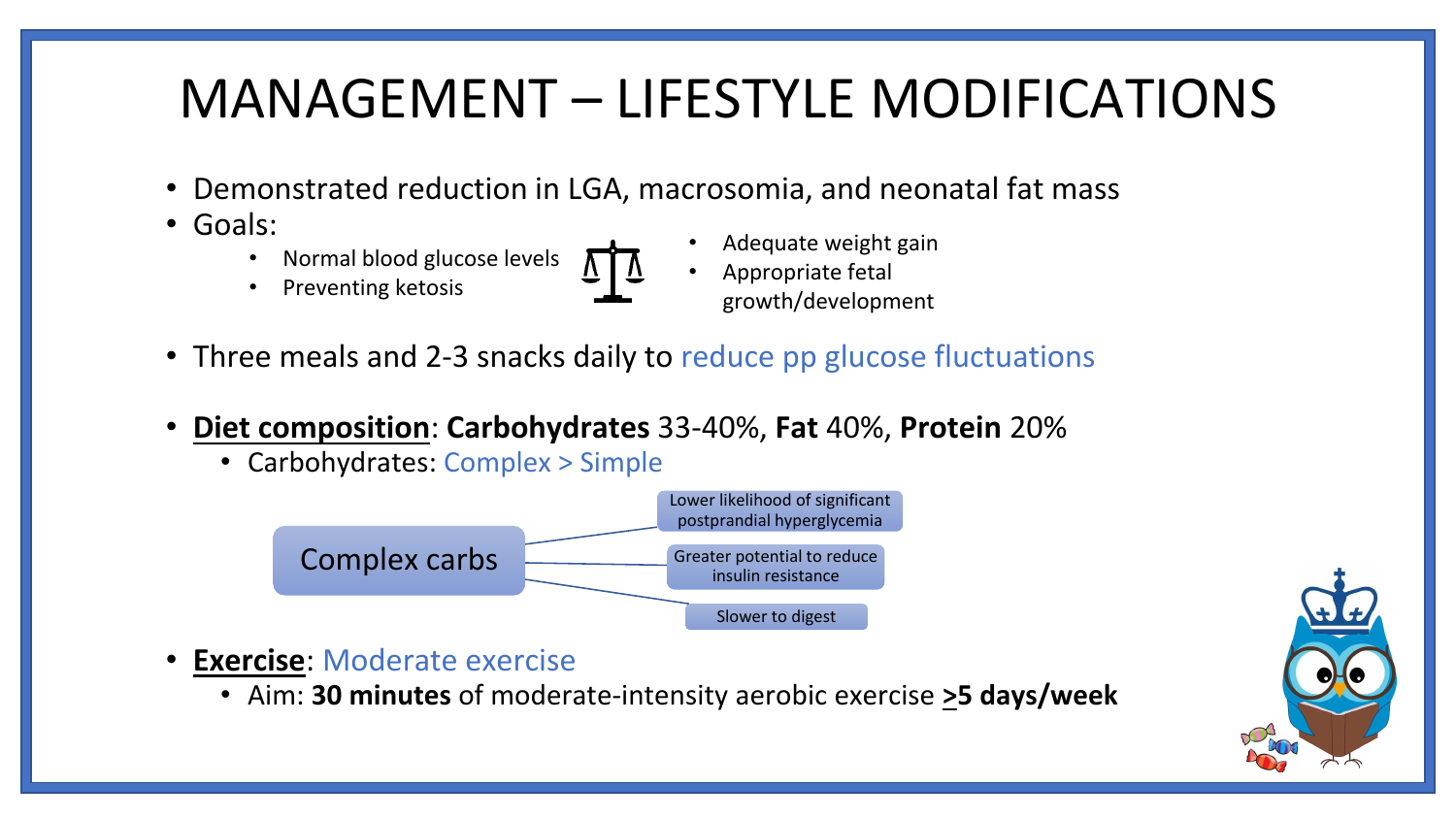## MANAGEMENT – LIFESTYLE MODIFICATIONS

- Demonstrated reduction in LGA, macrosomia, and neonatal fat mass
- Goals:
	- Normal blood glucose levels
	- Preventing ketosis
- 
- Adequate weight gain
- Appropriate fetal growth/development
- Three meals and 2-3 snacks daily to reduce pp glucose fluctuations
- **Diet composition**: **Carbohydrates** 33-40%, **Fat** 40%, **Protein** 20%
	- Carbohydrates: Complex > Simple



- **Exercise**: Moderate exercise
	- Aim: **30 minutes** of moderate-intensity aerobic exercise **>5 days/week**

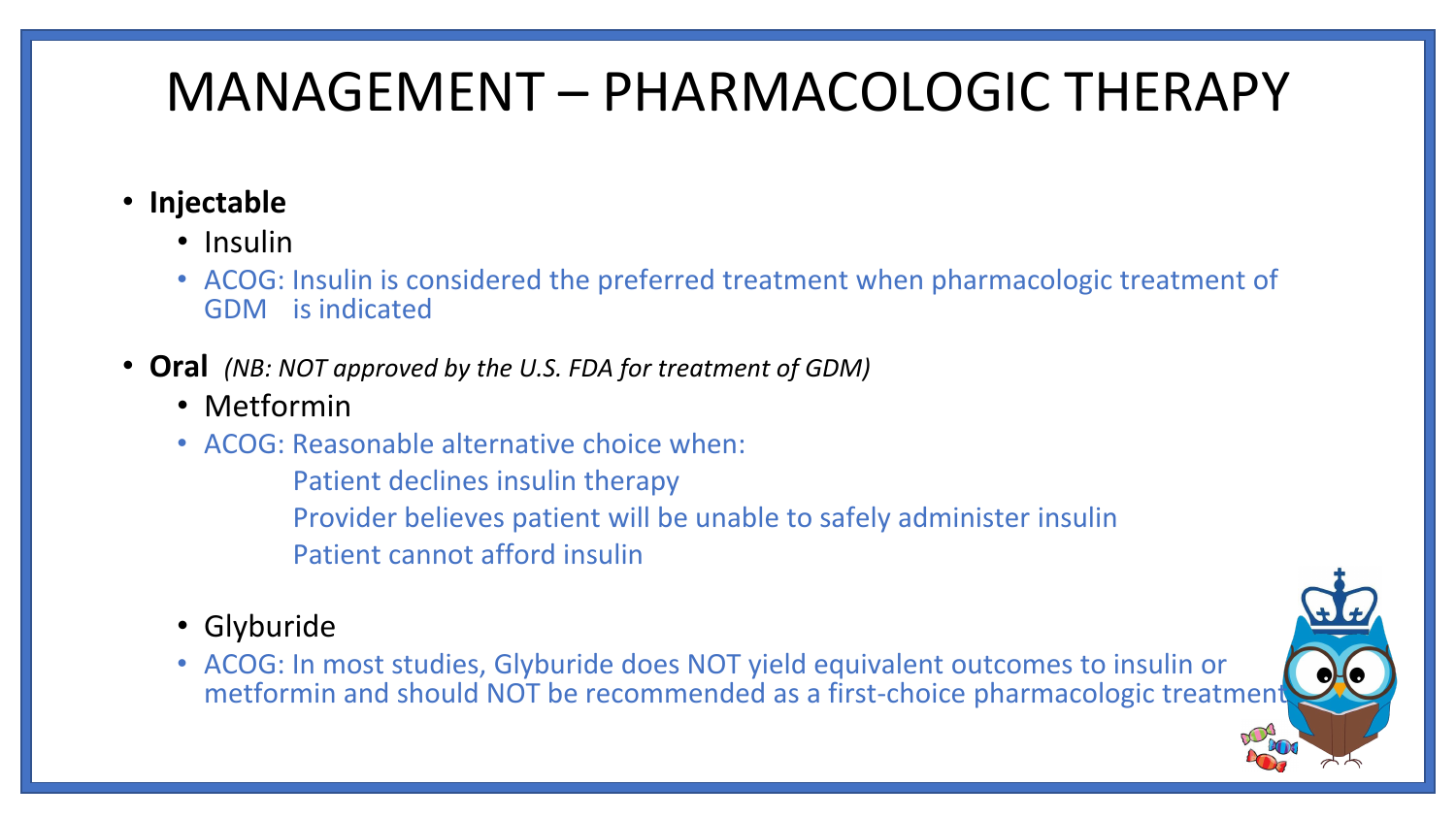## MANAGEMENT – PHARMACOLOGIC THERAPY

- **Injectable**
	- Insulin
	- ACOG: Insulin is considered the preferred treatment when pharmacologic treatment of GDM is indicated
- **Oral** *(NB: NOT approved by the U.S. FDA for treatment of GDM)*
	- Metformin
	- ACOG: Reasonable alternative choice when:
		- Patient declines insulin therapy Provider believes patient will be unable to safely administer insulin Patient cannot afford insulin
	- Glyburide
	- ACOG: In most studies, Glyburide does NOT yield equivalent outcomes to insulin or metformin and should NOT be recommended as a first-choice pharmacologic treatment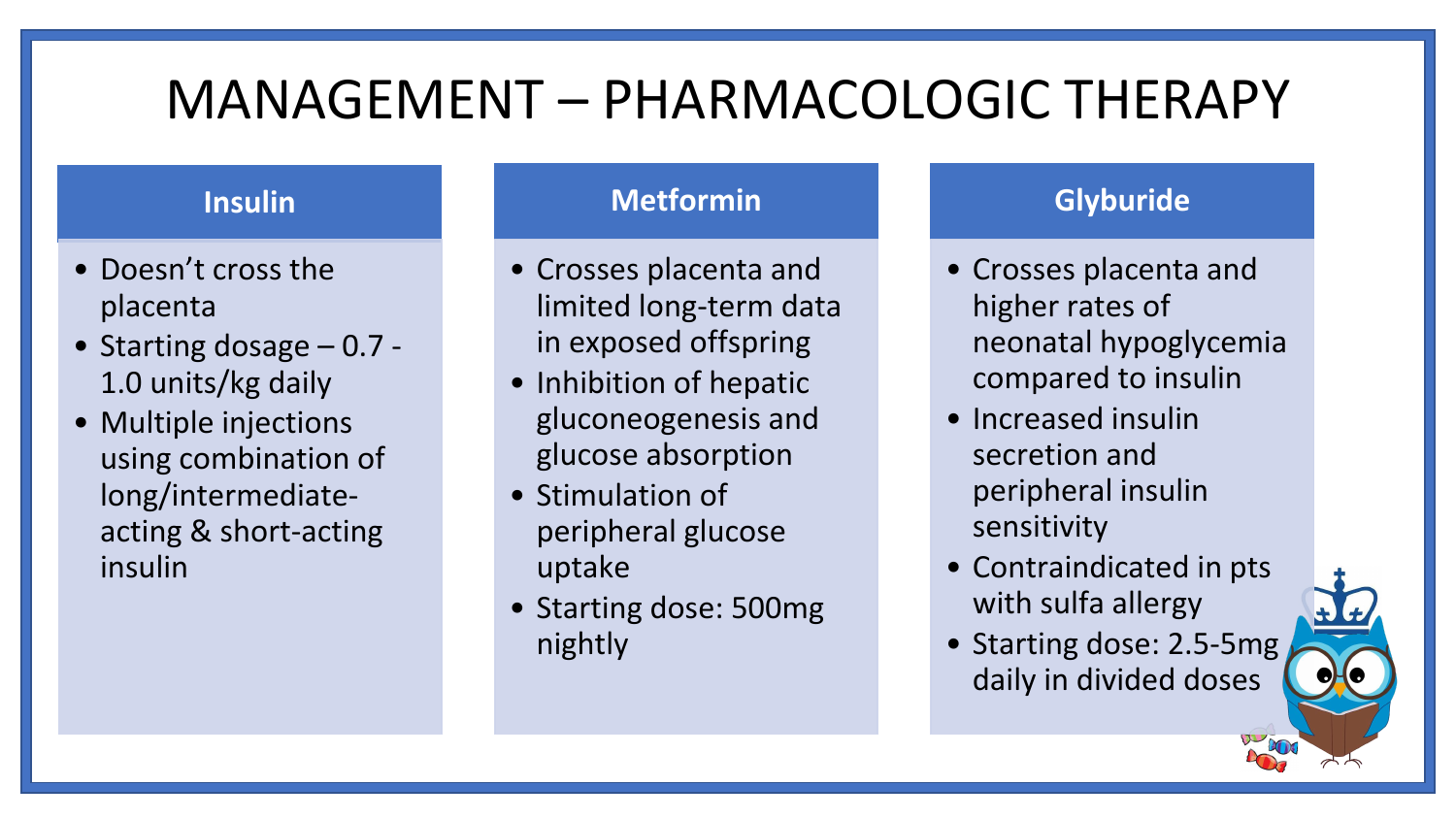### MANAGEMENT – PHARMACOLOGIC THERAPY

#### **Insulin**

- Doesn't cross the placenta
- Starting dosage 0.7 1.0 units/kg daily
- Multiple injections using combination of long/intermediateacting & short-acting insulin

#### **Metformin**

- Crosses placenta and limited long-term data in exposed offspring
- Inhibition of hepatic gluconeogenesis and glucose absorption
- Stimulation of peripheral glucose uptake
- Starting dose: 500mg nightly

#### **Glyburide**

- Crosses placenta and higher rates of neonatal hypoglycemia compared to insulin
- Increased insulin secretion and peripheral insulin sensitivity
- Contraindicated in pts with sulfa allergy
- Starting dose: 2.5-5mg daily in divided doses

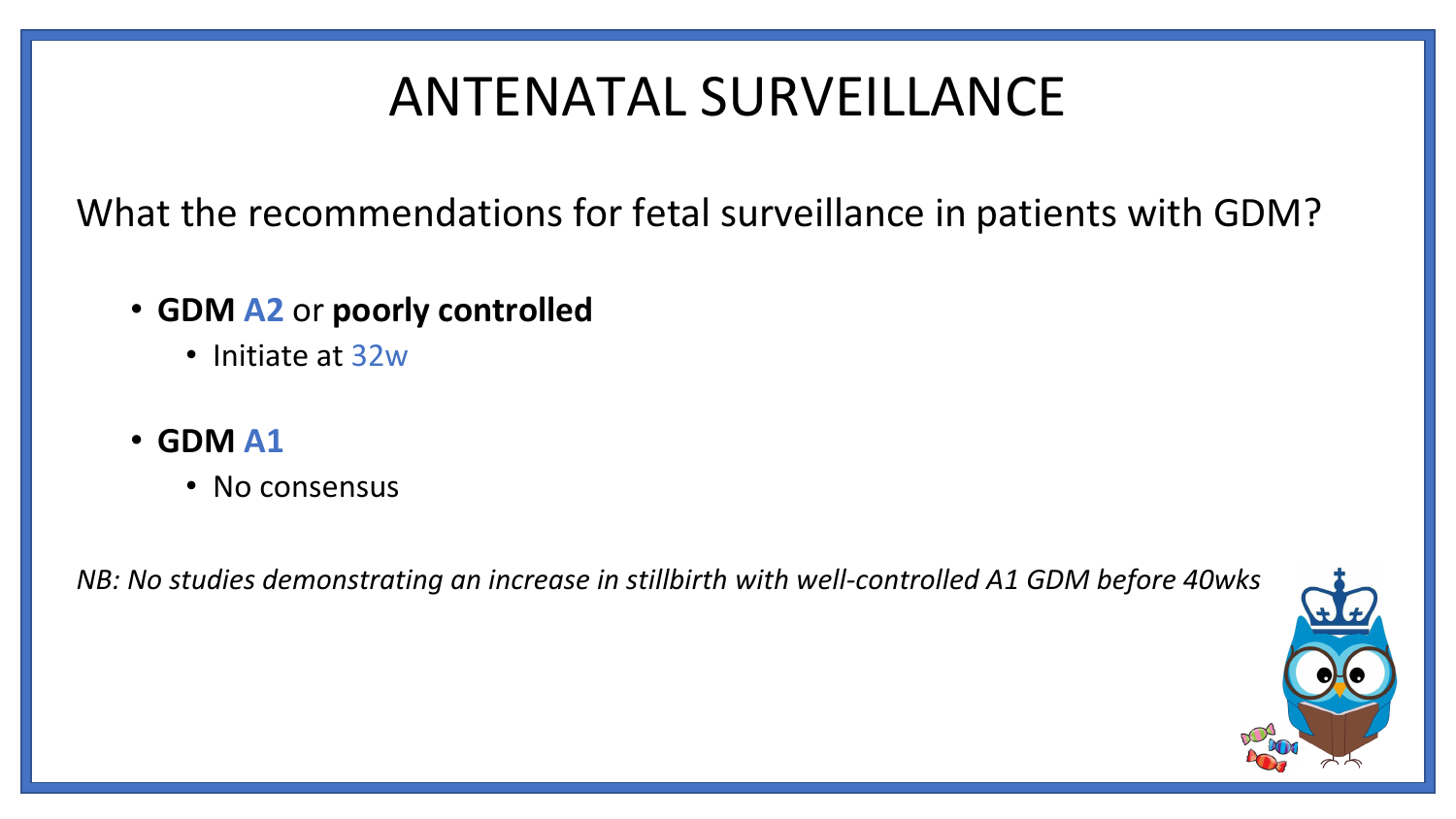## ANTENATAL SURVEILLANCE

What the recommendations for fetal surveillance in patients with GDM?

- **GDM A2** or **poorly controlled**
	- Initiate at 32w
- **GDM A1**
	- No consensus

*NB: No studies demonstrating an increase in stillbirth with well-controlled A1 GDM before 40wks*

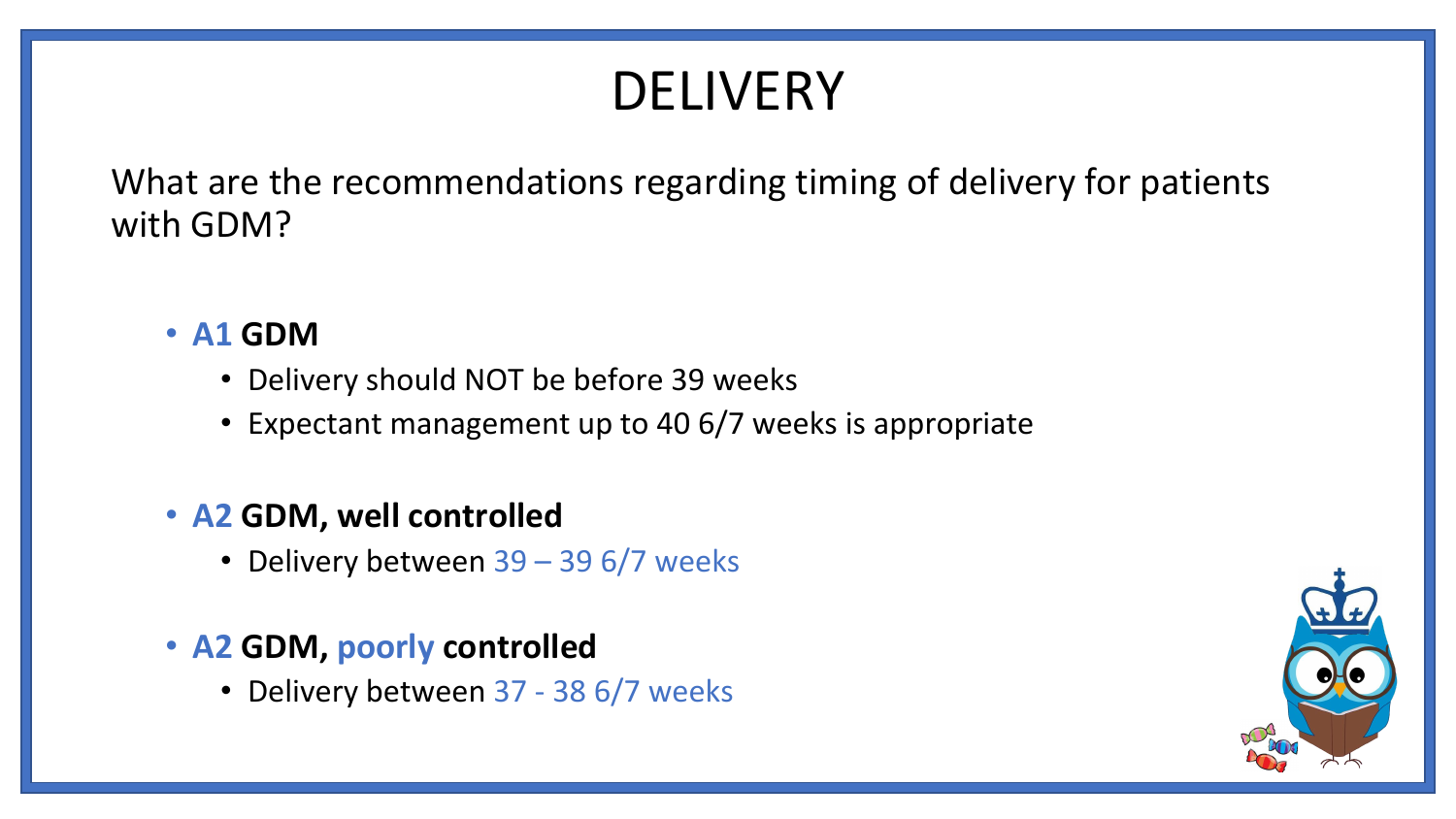### DELIVERY

What are the recommendations regarding timing of delivery for patients with GDM?

#### • **A1 GDM**

- Delivery should NOT be before 39 weeks
- Expectant management up to 40 6/7 weeks is appropriate

#### • **A2 GDM, well controlled**

• Delivery between 39 – 39 6/7 weeks

#### • **A2 GDM, poorly controlled**

• Delivery between 37 - 38 6/7 weeks

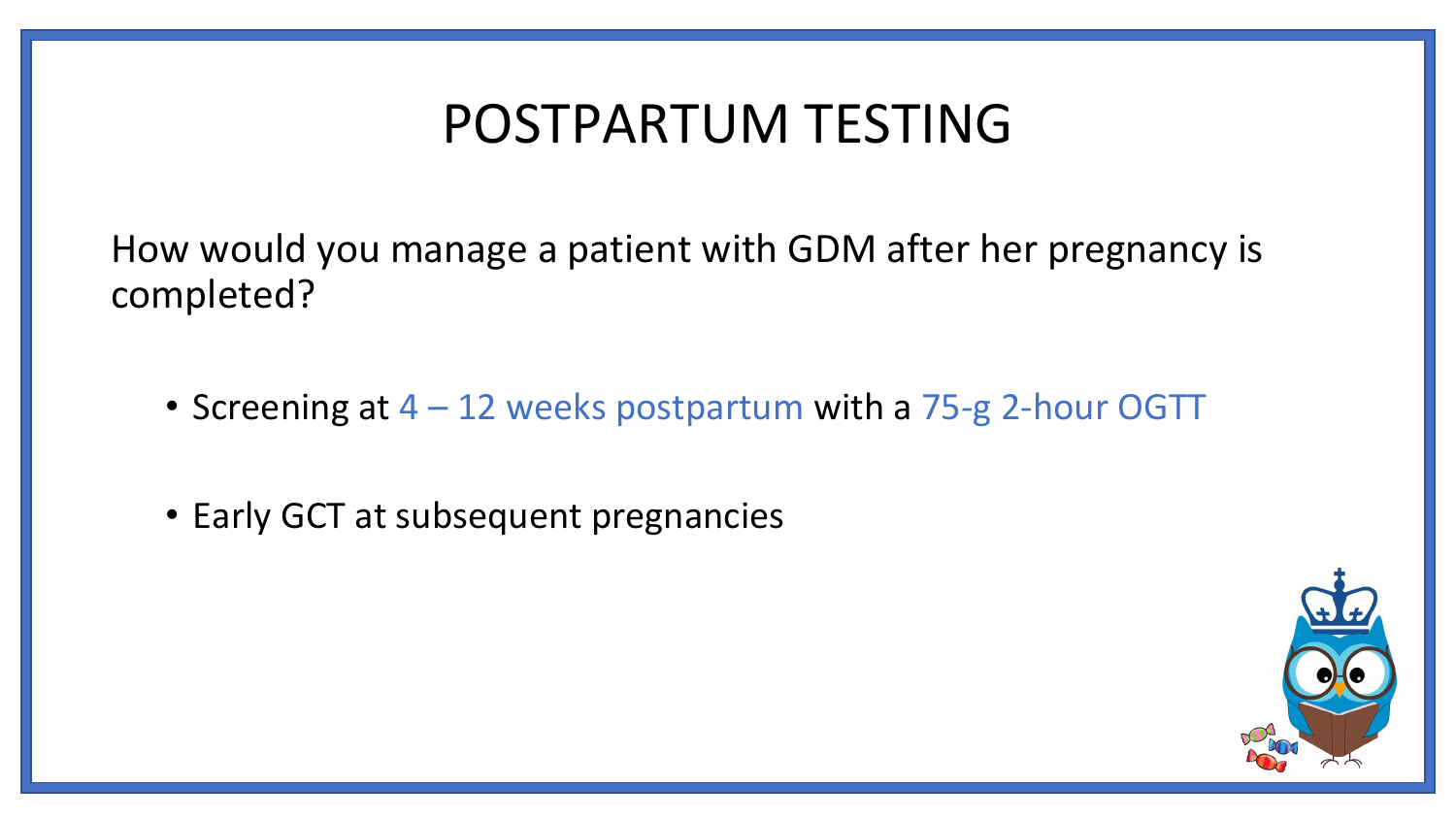### POSTPARTUM TESTING

How would you manage a patient with GDM after her pregnancy is completed?

- Screening at  $4 12$  weeks postpartum with a 75-g 2-hour OGTT
- Early GCT at subsequent pregnancies

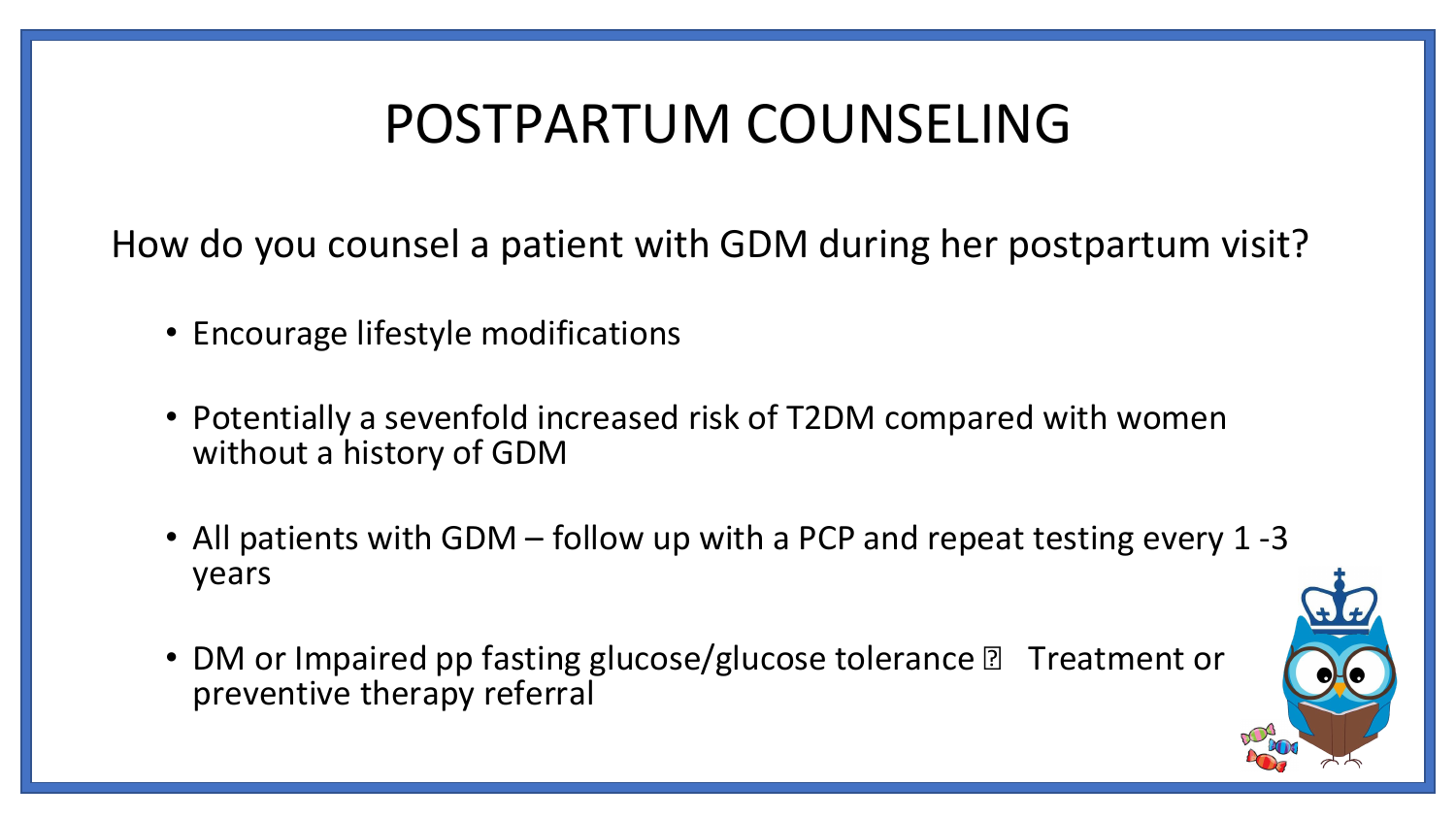### POSTPARTUM COUNSELING

How do you counsel a patient with GDM during her postpartum visit?

- Encourage lifestyle modifications
- Potentially a sevenfold increased risk of T2DM compared with women without a history of GDM
- All patients with GDM follow up with a PCP and repeat testing every 1 -3 years
- DM or Impaired pp fasting glucose/glucose tolerance **n** Treatment or preventive therapy referral

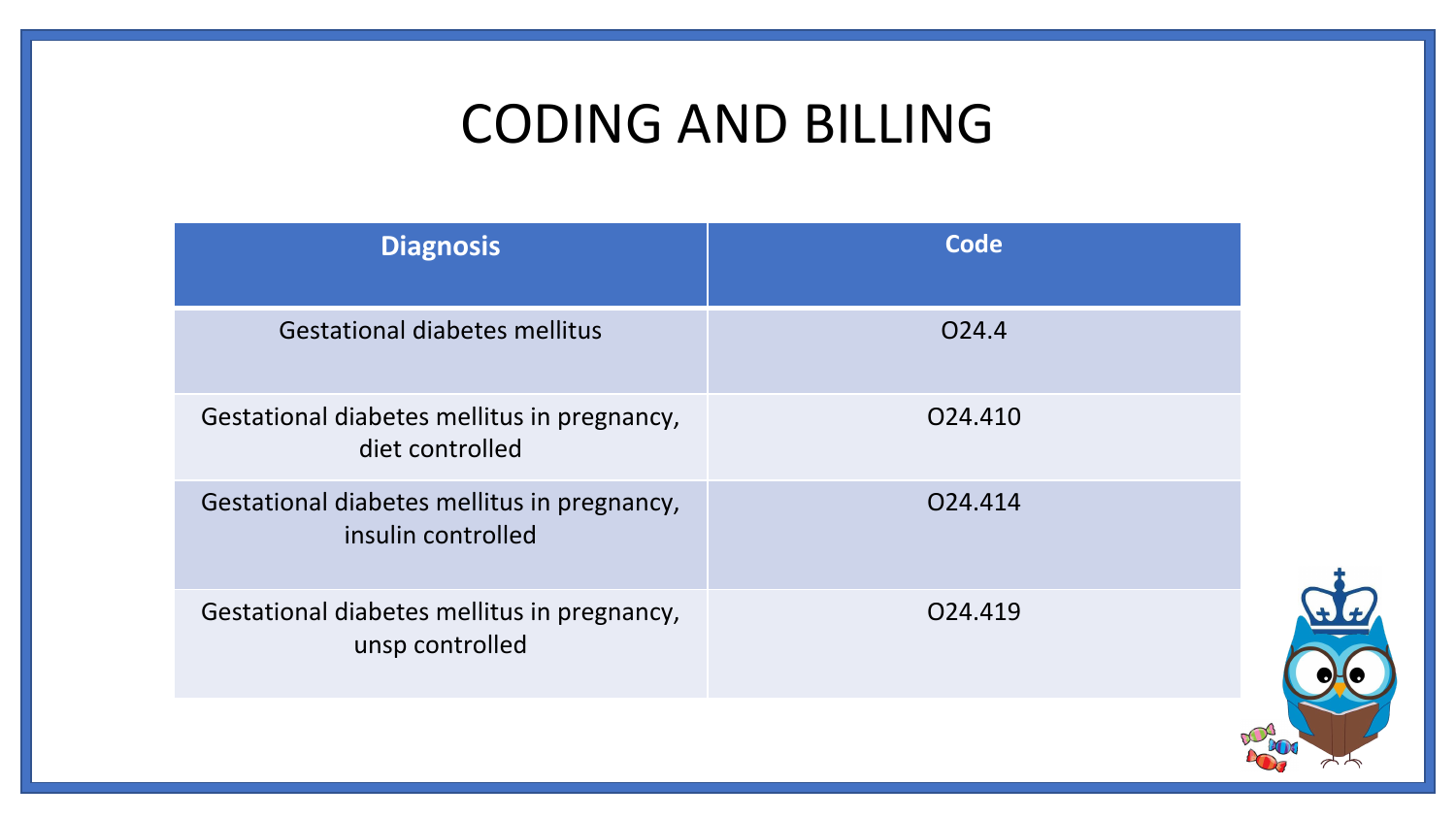### CODING AND BILLING

| <b>Diagnosis</b>                                                  | <b>Code</b>       |  |
|-------------------------------------------------------------------|-------------------|--|
| <b>Gestational diabetes mellitus</b>                              | O <sub>24.4</sub> |  |
| Gestational diabetes mellitus in pregnancy,<br>diet controlled    | 024.410           |  |
| Gestational diabetes mellitus in pregnancy,<br>insulin controlled | 024.414           |  |
| Gestational diabetes mellitus in pregnancy,<br>unsp controlled    | 024.419           |  |
|                                                                   |                   |  |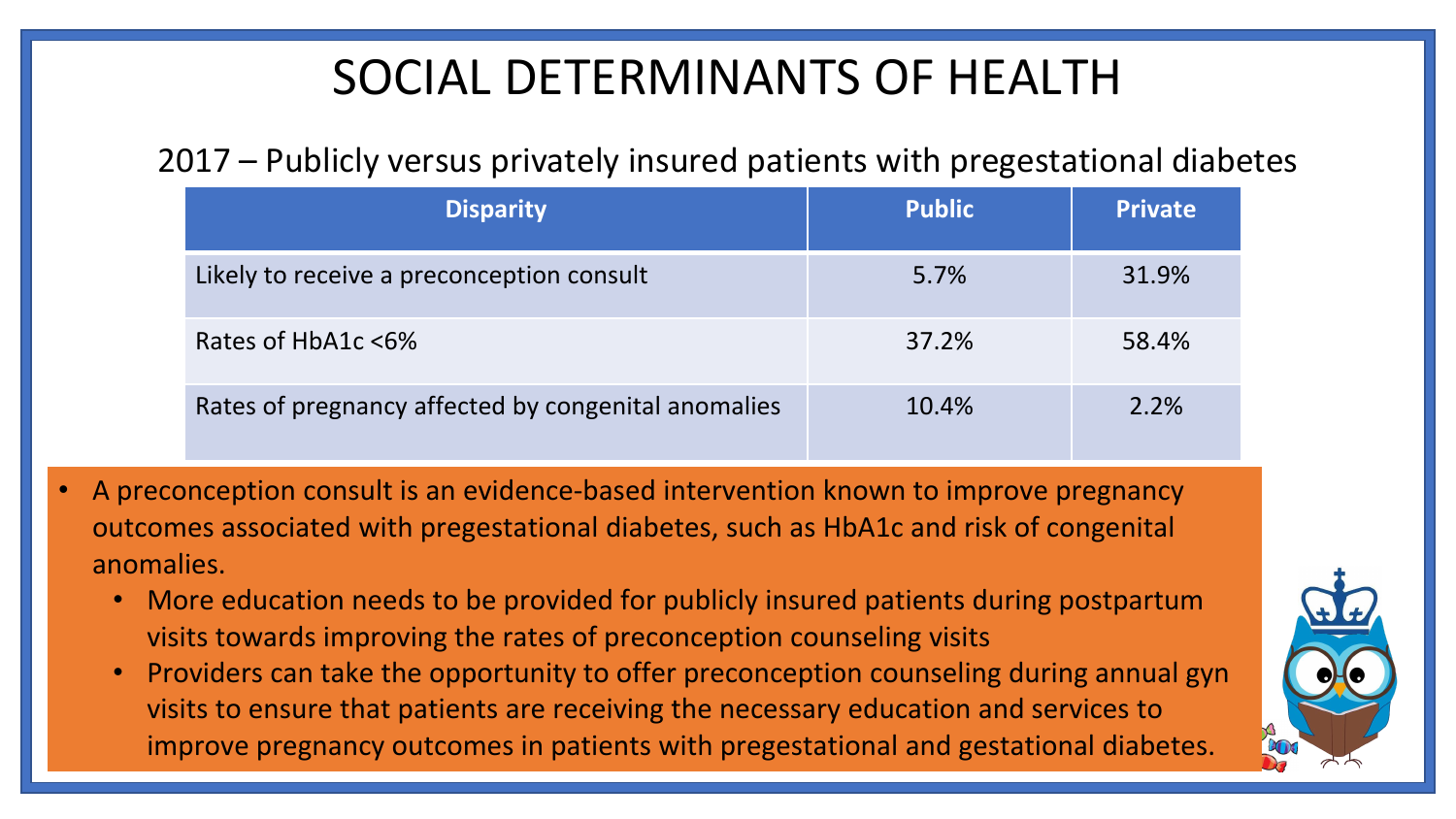#### SOCIAL DETERMINANTS OF HEALTH

#### 2017 – Publicly versus privately insured patients with pregestational diabetes

| <b>Disparity</b>                                    | <b>Public</b> | <b>Private</b> |
|-----------------------------------------------------|---------------|----------------|
| Likely to receive a preconception consult           | 5.7%          | 31.9%          |
| Rates of HbA1c <6%                                  | 37.2%         | 58.4%          |
| Rates of pregnancy affected by congenital anomalies | 10.4%         | 2.2%           |

- A preconception consult is an evidence-based intervention known to improve pregnancy outcomes associated with pregestational diabetes, such as HbA1c and risk of congenital anomalies.
	- More education needs to be provided for publicly insured patients during postpartum visits towards improving the rates of preconception counseling visits
	- Providers can take the opportunity to offer preconception counseling during annual gyn visits to ensure that patients are receiving the necessary education and services to improve pregnancy outcomes in patients with pregestational and gestational diabetes.

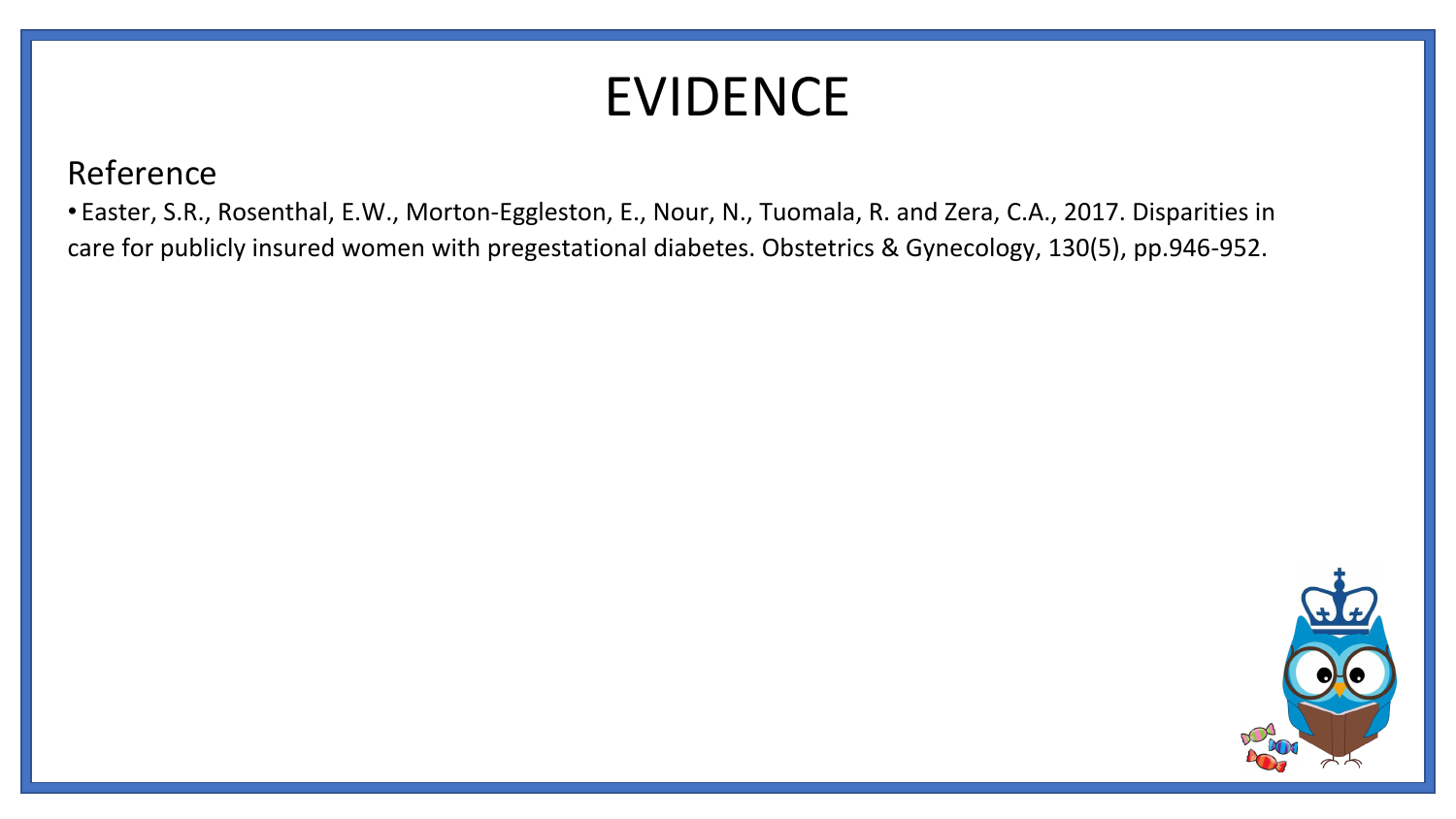## EVIDENCE

Reference

• Easter, S.R., Rosenthal, E.W., Morton-Eggleston, E., Nour, N., Tuomala, R. and Zera, C.A., 2017. Disparities in care for publicly insured women with pregestational diabetes. Obstetrics & Gynecology, 130(5), pp.946-952.

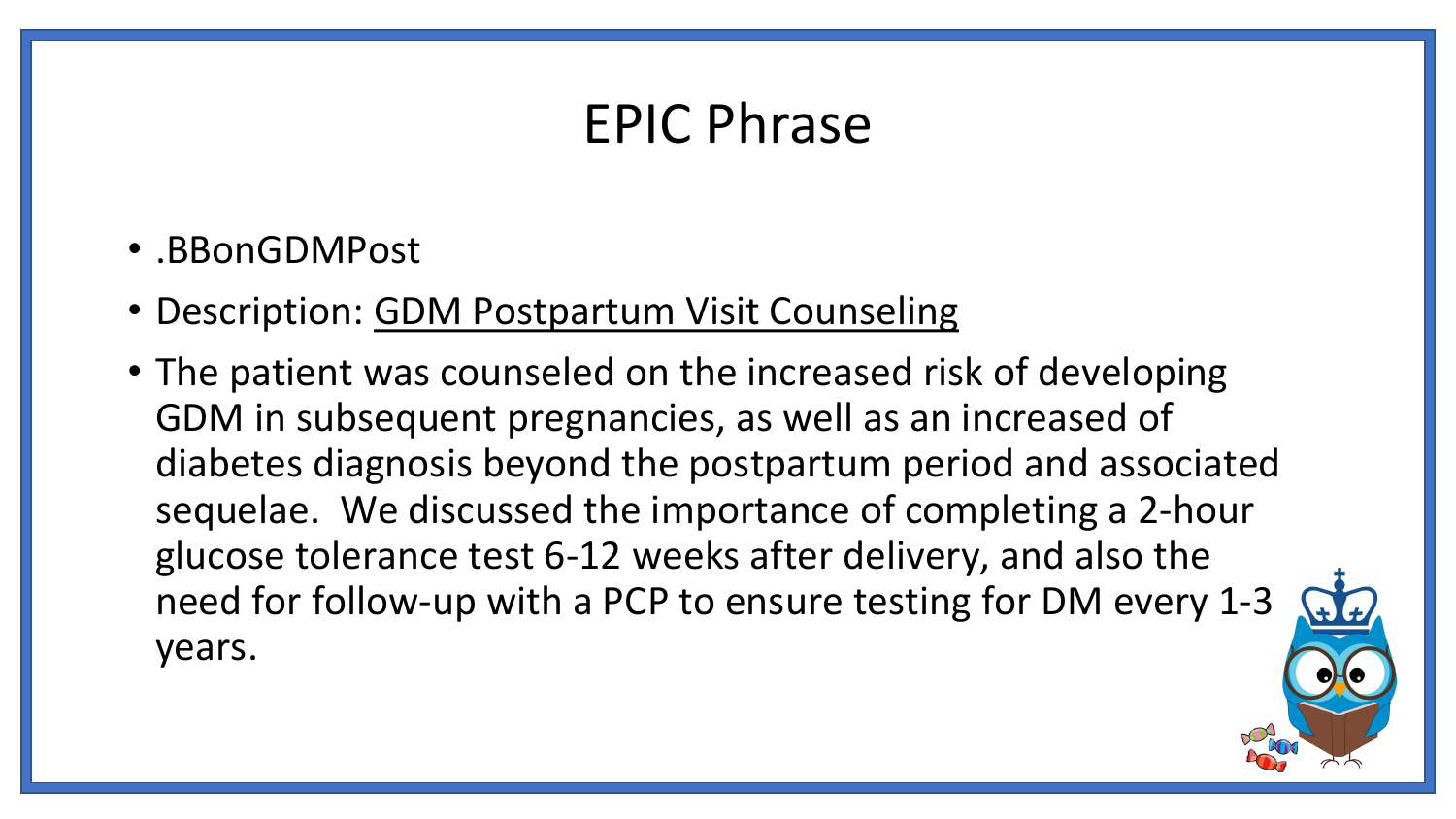### EPIC Phrase

- .BBonGDMPost
- Description: GDM Postpartum Visit Counseling
- The patient was counseled on the increased risk of developing GDM in subsequent pregnancies, as well as an increased of diabetes diagnosis beyond the postpartum period and associated sequelae. We discussed the importance of completing a 2-hour glucose tolerance test 6-12 weeks after delivery, and also the need for follow-up with a PCP to ensure testing for DM every 1-3 years.